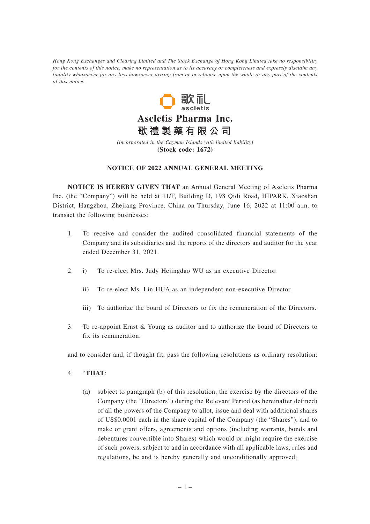*Hong Kong Exchanges and Clearing Limited and The Stock Exchange of Hong Kong Limited take no responsibility for the contents of this notice, make no representation as to its accuracy or completeness and expressly disclaim any liability whatsoever for any loss howsoever arising from or in reliance upon the whole or any part of the contents of this notice.*



*(incorporated in the Cayman Islands with limited liability)* **(Stock code: 1672)**

## **NOTICE OF 2022 ANNUAL GENERAL MEETING**

**NOTICE IS HEREBY GIVEN THAT** an Annual General Meeting of Ascletis Pharma Inc. (the "Company") will be held at 11/F, Building D, 198 Qidi Road, HIPARK, Xiaoshan District, Hangzhou, Zhejiang Province, China on Thursday, June 16, 2022 at 11:00 a.m. to transact the following businesses:

- 1. To receive and consider the audited consolidated financial statements of the Company and its subsidiaries and the reports of the directors and auditor for the year ended December 31, 2021.
- 2. i) To re-elect Mrs. Judy Hejingdao WU as an executive Director.
	- ii) To re-elect Ms. Lin HUA as an independent non-executive Director.
	- iii) To authorize the board of Directors to fix the remuneration of the Directors.
- 3. To re-appoint Ernst & Young as auditor and to authorize the board of Directors to fix its remuneration.

and to consider and, if thought fit, pass the following resolutions as ordinary resolution:

- 4. "**THAT**:
	- (a) subject to paragraph (b) of this resolution, the exercise by the directors of the Company (the "Directors") during the Relevant Period (as hereinafter defined) of all the powers of the Company to allot, issue and deal with additional shares of US\$0.0001 each in the share capital of the Company (the "Shares"), and to make or grant offers, agreements and options (including warrants, bonds and debentures convertible into Shares) which would or might require the exercise of such powers, subject to and in accordance with all applicable laws, rules and regulations, be and is hereby generally and unconditionally approved;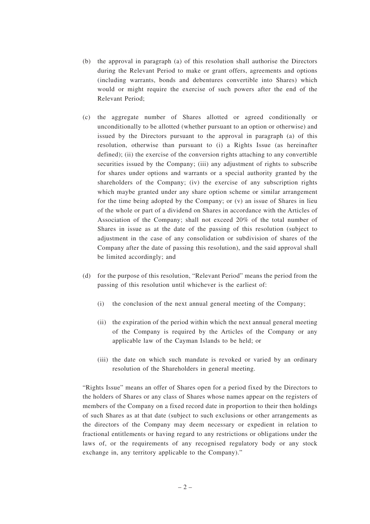- (b) the approval in paragraph (a) of this resolution shall authorise the Directors during the Relevant Period to make or grant offers, agreements and options (including warrants, bonds and debentures convertible into Shares) which would or might require the exercise of such powers after the end of the Relevant Period;
- (c) the aggregate number of Shares allotted or agreed conditionally or unconditionally to be allotted (whether pursuant to an option or otherwise) and issued by the Directors pursuant to the approval in paragraph (a) of this resolution, otherwise than pursuant to (i) a Rights Issue (as hereinafter defined); (ii) the exercise of the conversion rights attaching to any convertible securities issued by the Company; (iii) any adjustment of rights to subscribe for shares under options and warrants or a special authority granted by the shareholders of the Company; (iv) the exercise of any subscription rights which maybe granted under any share option scheme or similar arrangement for the time being adopted by the Company; or (v) an issue of Shares in lieu of the whole or part of a dividend on Shares in accordance with the Articles of Association of the Company; shall not exceed 20% of the total number of Shares in issue as at the date of the passing of this resolution (subject to adjustment in the case of any consolidation or subdivision of shares of the Company after the date of passing this resolution), and the said approval shall be limited accordingly; and
- (d) for the purpose of this resolution, "Relevant Period" means the period from the passing of this resolution until whichever is the earliest of:
	- (i) the conclusion of the next annual general meeting of the Company;
	- (ii) the expiration of the period within which the next annual general meeting of the Company is required by the Articles of the Company or any applicable law of the Cayman Islands to be held; or
	- (iii) the date on which such mandate is revoked or varied by an ordinary resolution of the Shareholders in general meeting.

"Rights Issue" means an offer of Shares open for a period fixed by the Directors to the holders of Shares or any class of Shares whose names appear on the registers of members of the Company on a fixed record date in proportion to their then holdings of such Shares as at that date (subject to such exclusions or other arrangements as the directors of the Company may deem necessary or expedient in relation to fractional entitlements or having regard to any restrictions or obligations under the laws of, or the requirements of any recognised regulatory body or any stock exchange in, any territory applicable to the Company)."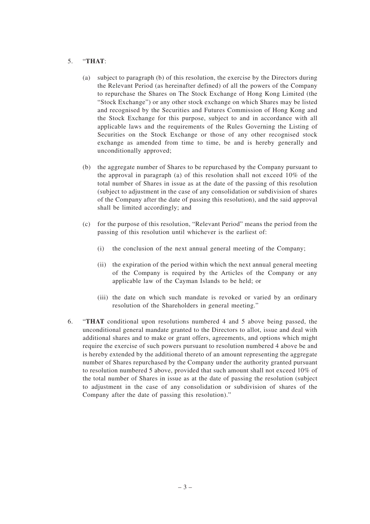## 5. "**THAT**:

- (a) subject to paragraph (b) of this resolution, the exercise by the Directors during the Relevant Period (as hereinafter defined) of all the powers of the Company to repurchase the Shares on The Stock Exchange of Hong Kong Limited (the "Stock Exchange") or any other stock exchange on which Shares may be listed and recognised by the Securities and Futures Commission of Hong Kong and the Stock Exchange for this purpose, subject to and in accordance with all applicable laws and the requirements of the Rules Governing the Listing of Securities on the Stock Exchange or those of any other recognised stock exchange as amended from time to time, be and is hereby generally and unconditionally approved;
- (b) the aggregate number of Shares to be repurchased by the Company pursuant to the approval in paragraph (a) of this resolution shall not exceed 10% of the total number of Shares in issue as at the date of the passing of this resolution (subject to adjustment in the case of any consolidation or subdivision of shares of the Company after the date of passing this resolution), and the said approval shall be limited accordingly; and
- (c) for the purpose of this resolution, "Relevant Period" means the period from the passing of this resolution until whichever is the earliest of:
	- (i) the conclusion of the next annual general meeting of the Company;
	- (ii) the expiration of the period within which the next annual general meeting of the Company is required by the Articles of the Company or any applicable law of the Cayman Islands to be held; or
	- (iii) the date on which such mandate is revoked or varied by an ordinary resolution of the Shareholders in general meeting."
- 6. "**THAT** conditional upon resolutions numbered 4 and 5 above being passed, the unconditional general mandate granted to the Directors to allot, issue and deal with additional shares and to make or grant offers, agreements, and options which might require the exercise of such powers pursuant to resolution numbered 4 above be and is hereby extended by the additional thereto of an amount representing the aggregate number of Shares repurchased by the Company under the authority granted pursuant to resolution numbered 5 above, provided that such amount shall not exceed 10% of the total number of Shares in issue as at the date of passing the resolution (subject to adjustment in the case of any consolidation or subdivision of shares of the Company after the date of passing this resolution)."